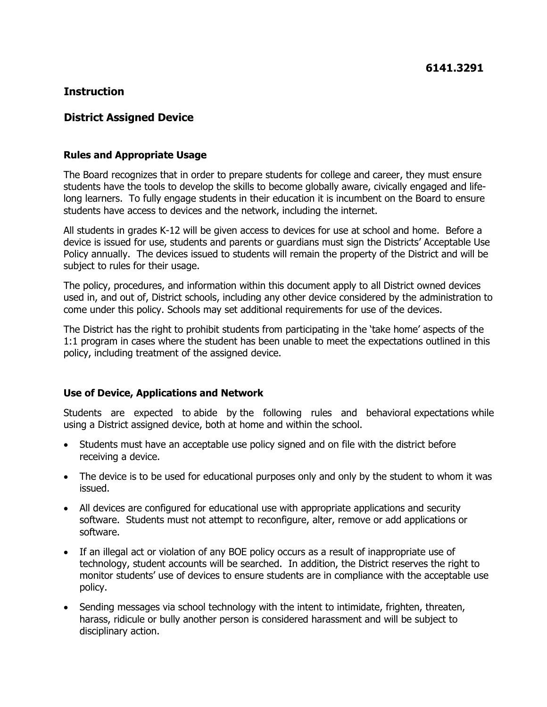### **Instruction**

# **District Assigned Device**

### **Rules and Appropriate Usage**

The Board recognizes that in order to prepare students for college and career, they must ensure students have the tools to develop the skills to become globally aware, civically engaged and lifelong learners. To fully engage students in their education it is incumbent on the Board to ensure students have access to devices and the network, including the internet.

All students in grades K-12 will be given access to devices for use at school and home. Before a device is issued for use, students and parents or guardians must sign the Districts' Acceptable Use Policy annually. The devices issued to students will remain the property of the District and will be subject to rules for their usage.

The policy, procedures, and information within this document apply to all District owned devices used in, and out of, District schools, including any other device considered by the administration to come under this policy. Schools may set additional requirements for use of the devices.

The District has the right to prohibit students from participating in the 'take home' aspects of the 1:1 program in cases where the student has been unable to meet the expectations outlined in this policy, including treatment of the assigned device.

#### **Use of Device, Applications and Network**

Students are expected to abide by the following rules and behavioral expectations while using a District assigned device, both at home and within the school.

- Students must have an acceptable use policy signed and on file with the district before receiving a device.
- The device is to be used for educational purposes only and only by the student to whom it was issued.
- All devices are configured for educational use with appropriate applications and security software. Students must not attempt to reconfigure, alter, remove or add applications or software.
- If an illegal act or violation of any BOE policy occurs as a result of inappropriate use of technology, student accounts will be searched. In addition, the District reserves the right to monitor students' use of devices to ensure students are in compliance with the acceptable use policy.
- Sending messages via school technology with the intent to intimidate, frighten, threaten, harass, ridicule or bully another person is considered harassment and will be subject to disciplinary action.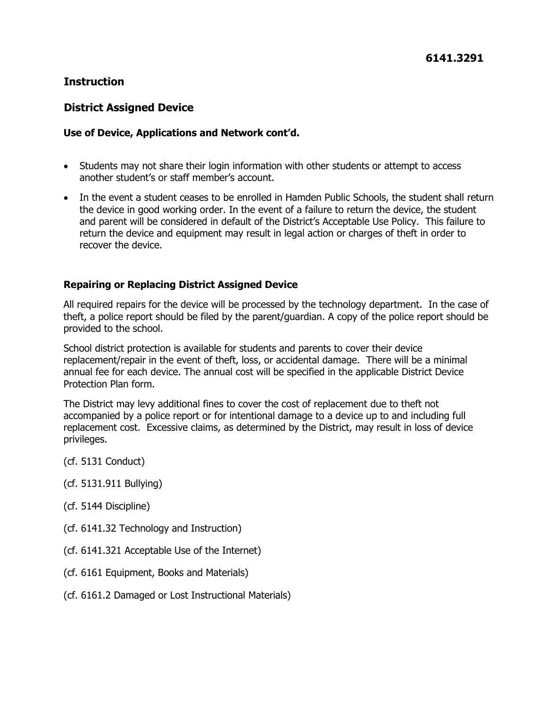# **Instruction**

### **District Assigned Device**

### **Use of Device, Applications and Network cont'd.**

- Students may not share their login information with other students or attempt to access another student's or staff member's account.
- In the event a student ceases to be enrolled in Hamden Public Schools, the student shall return the device in good working order. In the event of a failure to return the device, the student and parent will be considered in default of the District's Acceptable Use Policy. This failure to return the device and equipment may result in legal action or charges of theft in order to recover the device.

### **Repairing or Replacing District Assigned Device**

All required repairs for the device will be processed by the technology department. In the case of theft, a police report should be filed by the parent/guardian. A copy of the police report should be provided to the school.

School district protection is available for students and parents to cover their device replacement/repair in the event of theft, loss, or accidental damage. There will be a minimal annual fee for each device. The annual cost will be specified in the applicable District Device Protection Plan form.

The District may levy additional fines to cover the cost of replacement due to theft not accompanied by a police report or for intentional damage to a device up to and including full replacement cost. Excessive claims, as determined by the District, may result in loss of device privileges.

- (cf. 5131 Conduct)
- (cf. 5131.911 Bullying)
- (cf. 5144 Discipline)
- (cf. 6141.32 Technology and Instruction)
- (cf. 6141.321 Acceptable Use of the Internet)
- (cf. 6161 Equipment, Books and Materials)
- (cf. 6161.2 Damaged or Lost Instructional Materials)